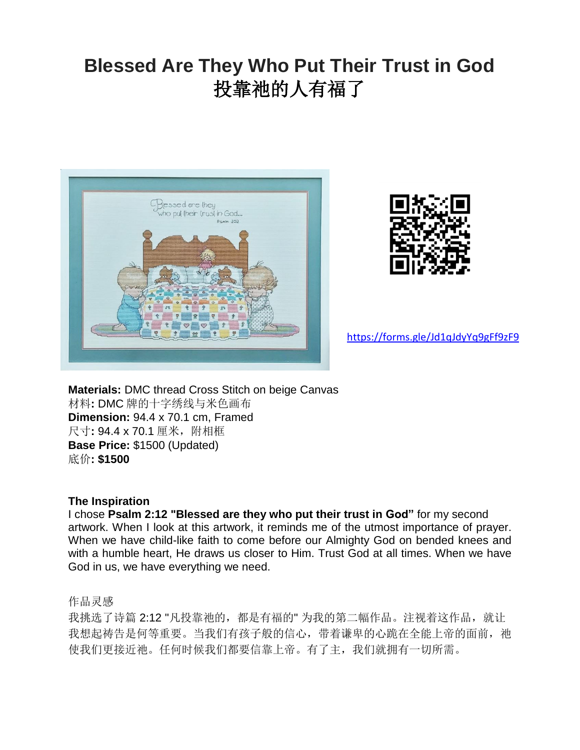## **Blessed Are They Who Put Their Trust in God** 投靠祂的人有福了





<https://forms.gle/Jd1qJdyYq9gFf9zF9>

**Materials:** DMC thread Cross Stitch on beige Canvas 材料**:** DMC 牌的十字绣线与米色画布 **Dimension:** 94.4 x 70.1 cm, Framed 尺寸: 94.4 x 70.1 厘米, 附相框 **Base Price:** \$1500 (Updated) 底价**: \$1500**

## **The Inspiration**

I chose **Psalm 2:12 "Blessed are they who put their trust in God"** for my second artwork. When I look at this artwork, it reminds me of the utmost importance of prayer. When we have child-like faith to come before our Almighty God on bended knees and with a humble heart, He draws us closer to Him. Trust God at all times. When we have God in us, we have everything we need.

作品灵感

我挑选了诗篇 2:12 "凡投靠祂的, 都是有福的" 为我的第二幅作品。注视着这作品, 就让 我想起祷告是何等重要。当我们有孩子般的信心,带着谦卑的心跪在全能上帝的面前,祂 使我们更接近祂。任何时候我们都要信靠上帝。有了主,我们就拥有一切所需。